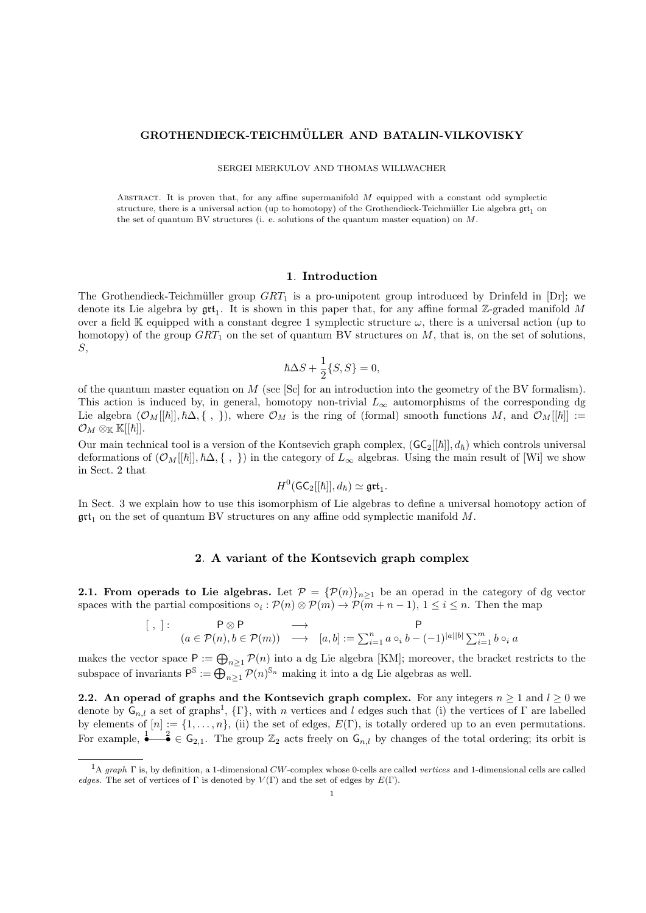# GROTHENDIECK-TEICHMÜLLER AND BATALIN-VILKOVISKY

SERGEI MERKULOV AND THOMAS WILLWACHER

ABSTRACT. It is proven that, for any affine supermanifold  $M$  equipped with a constant odd symplectic structure, there is a universal action (up to homotopy) of the Grothendieck-Teichmüller Lie algebra  $\mathfrak{grt}_1$  on the set of quantum BV structures (i. e. solutions of the quantum master equation) on  $M$ .

#### 1. Introduction

The Grothendieck-Teichmüller group  $GRT_1$  is a pro-unipotent group introduced by Drinfeld in [Dr]; we denote its Lie algebra by  $\text{grt}_1$ . It is shown in this paper that, for any affine formal Z-graded manifold M over a field K equipped with a constant degree 1 symplectic structure  $\omega$ , there is a universal action (up to homotopy) of the group  $GRT_1$  on the set of quantum BV structures on  $M$ , that is, on the set of solutions, S,

$$
\hbar \Delta S + \frac{1}{2} \{ S, S \} = 0,
$$

of the quantum master equation on M (see [Sc] for an introduction into the geometry of the BV formalism). This action is induced by, in general, homotopy non-trivial  $L_{\infty}$  automorphisms of the corresponding dg Lie algebra  $(\mathcal{O}_M[[\hbar]], \hbar\Delta, \{\ ,\ \})$ , where  $\mathcal{O}_M$  is the ring of (formal) smooth functions M, and  $\mathcal{O}_M[[\hbar]] :=$  $\mathcal{O}_M \otimes_{\mathbb{K}} \mathbb{K}||\hbar||.$ 

Our main technical tool is a version of the Kontsevich graph complex,  $(GC_2[[\hbar]], d_{\hbar})$  which controls universal deformations of  $(\mathcal{O}_M[[\hbar]], \hbar\Delta, \{\ ,\ \})$  in the category of  $L_\infty$  algebras. Using the main result of [Wi] we show in Sect. 2 that

$$
H^0(\mathsf{GC}_2[[\hbar]], d_{\hbar}) \simeq \mathfrak{grt}_1.
$$

In Sect. 3 we explain how to use this isomorphism of Lie algebras to define a universal homotopy action of  $\mathfrak{g}$ t<sub>1</sub> on the set of quantum BV structures on any affine odd symplectic manifold M.

#### 2. A variant of the Kontsevich graph complex

2.1. From operads to Lie algebras. Let  $P = {\mathcal{P}(n)}_{n\geq 1}$  be an operad in the category of dg vector spaces with the partial compositions  $\circ_i : \mathcal{P}(n) \otimes \mathcal{P}(m) \to \mathcal{P}(m+n-1), 1 \leq i \leq n$ . Then the map

$$
\begin{array}{cccc} [\ , \ ]: & P \otimes P & \longrightarrow & P \\ & (a \in \mathcal{P}(n), b \in \mathcal{P}(m)) & \longrightarrow & [a, b] := \sum_{i=1}^{n} a \circ_i b - (-1)^{|a||b|} \sum_{i=1}^{m} b \circ_i a \end{array}
$$

makes the vector space  $P := \bigoplus_{n \geq 1} P(n)$  into a dg Lie algebra [KM]; moreover, the bracket restricts to the subspace of invariants  $P^{\mathbb{S}} := \bigoplus_{n \geq 1} P(n)^{\mathbb{S}_n}$  making it into a dg Lie algebras as well.

2.2. An operad of graphs and the Kontsevich graph complex. For any integers  $n \geq 1$  and  $l \geq 0$  we denote by  $G_{n,l}$  a set of graphs<sup>1</sup>,  $\{\Gamma\}$ , with n vertices and l edges such that (i) the vertices of  $\Gamma$  are labelled by elements of  $[n] := \{1, \ldots, n\}$ , (ii) the set of edges,  $E(\Gamma)$ , is totally ordered up to an even permutations. For example,  $\stackrel{1}{\bullet} \stackrel{2}{\bullet} \in \mathsf{G}_{2,1}$ . The group  $\mathbb{Z}_2$  acts freely on  $\mathsf{G}_{n,l}$  by changes of the total ordering; its orbit is

<sup>&</sup>lt;sup>1</sup>A graph  $\Gamma$  is, by definition, a 1-dimensional CW-complex whose 0-cells are called vertices and 1-dimensional cells are called edges. The set of vertices of Γ is denoted by  $V(\Gamma)$  and the set of edges by  $E(\Gamma)$ .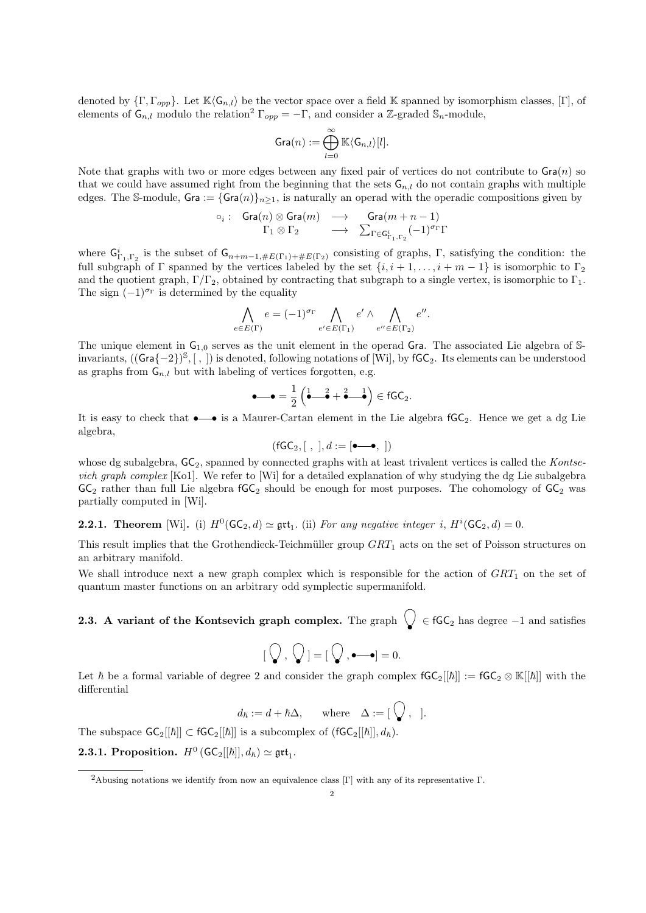denoted by  $\{\Gamma, \Gamma_{opp}\}\$ . Let  $\mathbb{K}\langle\mathsf{G}_{n,l}\rangle$  be the vector space over a field  $\mathbb{K}$  spanned by isomorphism classes,  $[\Gamma]$ , of elements of  $\mathsf{G}_{n,l}$  modulo the relation<sup>2</sup>  $\Gamma_{opp} = -\Gamma$ , and consider a Z-graded  $\mathbb{S}_n$ -module,

$$
\operatorname{Gra}(n):=\bigoplus_{l=0}^\infty \mathbb{K}\langle \mathsf{G}_{n,l}\rangle[l].
$$

Note that graphs with two or more edges between any fixed pair of vertices do not contribute to  $\text{Gra}(n)$  so that we could have assumed right from the beginning that the sets  $G_{n,l}$  do not contain graphs with multiple edges. The S-module, Gra := {Gra $(n)$ }<sub>n</sub>><sub>1</sub>, is naturally an operad with the operadic compositions given by

$$
\begin{array}{cccc}\n\circ_i: & \mathsf{Gra}(n)\otimes \mathsf{Gra}(m) & \longrightarrow & \mathsf{Gra}(m+n-1) \\
\Gamma_1\otimes \Gamma_2 & \longrightarrow & \sum_{\Gamma\in \mathsf{G}_{\Gamma_1,\Gamma_2}^i}(-1)^{\sigma_{\Gamma}}\Gamma\n\end{array}
$$

where  $G_{\Gamma_1,\Gamma_2}^i$  is the subset of  $G_{n+m-1,\#E(\Gamma_1)+\#E(\Gamma_2)}$  consisting of graphs,  $\Gamma$ , satisfying the condition: the full subgraph of Γ spanned by the vertices labeled by the set  $\{i, i+1, \ldots, i+m-1\}$  is isomorphic to Γ<sub>2</sub> and the quotient graph,  $\Gamma/\Gamma_2$ , obtained by contracting that subgraph to a single vertex, is isomorphic to  $\Gamma_1$ . The sign  $(-1)^{\sigma_{\Gamma}}$  is determined by the equality

$$
\bigwedge_{e \in E(\Gamma)} e = (-1)^{\sigma_{\Gamma}} \bigwedge_{e' \in E(\Gamma_1)} e' \wedge \bigwedge_{e'' \in E(\Gamma_2)} e''.
$$

The unique element in  $G_{1,0}$  serves as the unit element in the operad Gra. The associated Lie algebra of Sinvariants,  $((\text{Gra}\{-2\})^{\mathbb{S}}, [$ ,  $])$  is denoted, following notations of [Wi], by fGC<sub>2</sub>. Its elements can be understood as graphs from  $G_{n,l}$  but with labeling of vertices forgotten, e.g.

$$
\bullet \longrightarrow = \frac{1}{2} \left( \stackrel{1}{\bullet} \stackrel{2}{\longrightarrow} + \stackrel{2}{\bullet} \stackrel{1}{\longrightarrow} \right) \in fGC_2.
$$

It is easy to check that  $\bullet \rightarrow \bullet$  is a Maurer-Cartan element in the Lie algebra  $fGC_2$ . Hence we get a dg Lie algebra,

 $(fGC_2, [ , ], d := [\bullet \longrightarrow , ])$ 

whose dg subalgebra,  $GC_2$ , spanned by connected graphs with at least trivalent vertices is called the Kontsevich graph complex [Ko1]. We refer to [Wi] for a detailed explanation of why studying the dg Lie subalgebra  $GC_2$  rather than full Lie algebra  $fGC_2$  should be enough for most purposes. The cohomology of  $GC_2$  was partially computed in [Wi].

**2.2.1.** Theorem [Wi]. (i)  $H^0(\mathsf{GC}_2, d) \simeq \mathfrak{grt}_1$ . (ii) For any negative integer i,  $H^i(\mathsf{GC}_2, d) = 0$ .

This result implies that the Grothendieck-Teichmüller group  $GRT_1$  acts on the set of Poisson structures on an arbitrary manifold.

We shall introduce next a new graph complex which is responsible for the action of  $GRT_1$  on the set of quantum master functions on an arbitrary odd symplectic supermanifold.

**2.3.** A variant of the Kontsevich graph complex. The graph  $\setminus \in \mathsf{fGC}_2$  has degree  $-1$  and satisfies

$$
[\bigcirc Q, \bigcirc Q] = [\bigcirc Q, \bullet \longrightarrow] = 0.
$$

Let  $\hbar$  be a formal variable of degree 2 and consider the graph complex  $fGC_2[[\hbar]] := fGC_2 \otimes \mathbb{K}[[\hbar]]$  with the differential

 $d_{\hbar} := d + \hbar \Delta, \quad \text{where} \quad \Delta := [\bigvee, \cdot].$ 

The subspace  $\mathsf{GC}_2[[\hbar]] \subset \mathsf{fGC}_2[[\hbar]]$  is a subcomplex of  $(\mathsf{fGC}_2[[\hbar]], d_{\hbar})$ .

**2.3.1. Proposition.**  $H^0(\mathsf{GC}_2[[\hbar]], d_{\hbar}) \simeq \mathfrak{grt}_1$ .

<sup>&</sup>lt;sup>2</sup>Abusing notations we identify from now an equivalence class [Γ] with any of its representative Γ.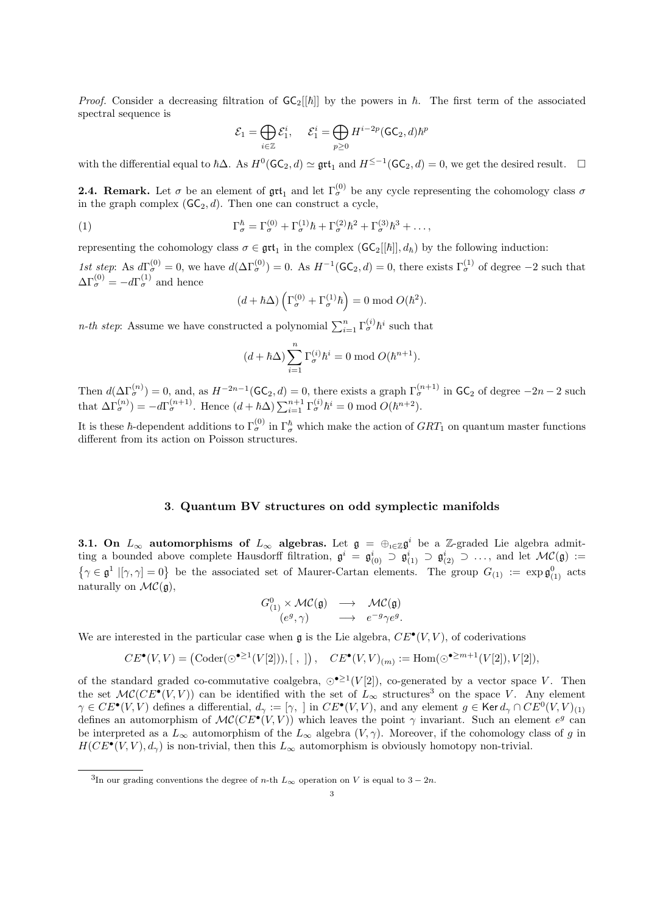*Proof.* Consider a decreasing filtration of  $GC_2[[\hbar]]$  by the powers in  $\hbar$ . The first term of the associated spectral sequence is

$$
\mathcal{E}_1 = \bigoplus_{i \in \mathbb{Z}} \mathcal{E}_1^i, \quad \ \mathcal{E}_1^i = \bigoplus_{p \geq 0} H^{i-2p}(\mathsf{GC}_2,d)\hbar^p
$$

with the differential equal to  $\hbar\Delta$ . As  $H^0(\mathsf{GC}_2,d) \simeq \mathfrak{grt}_1$  and  $H^{\leq -1}(\mathsf{GC}_2,d) = 0$ , we get the desired result.  $\square$ 

**2.4. Remark.** Let  $\sigma$  be an element of  $\text{gtt}_1$  and let  $\Gamma_{\sigma}^{(0)}$  be any cycle representing the cohomology class  $\sigma$ in the graph complex  $(\mathsf{GC}_2, d)$ . Then one can construct a cycle,

(1) 
$$
\Gamma^{\hbar}_{\sigma} = \Gamma^{(0)}_{\sigma} + \Gamma^{(1)}_{\sigma} \hbar + \Gamma^{(2)}_{\sigma} \hbar^2 + \Gamma^{(3)}_{\sigma} \hbar^3 + \dots,
$$

representing the cohomology class  $\sigma \in \text{grt}_1$  in the complex  $(\mathsf{GC}_2[[\hbar]], d_{\hbar})$  by the following induction:

1st step: As  $d\Gamma_{\sigma}^{(0)}=0$ , we have  $d(\Delta\Gamma_{\sigma}^{(0)})=0$ . As  $H^{-1}(\mathsf{GC}_2,d)=0$ , there exists  $\Gamma_{\sigma}^{(1)}$  of degree  $-2$  such that  $\Delta\Gamma_{\sigma}^{(0)} = -d\Gamma_{\sigma}^{(1)}$  and hence

$$
(d + \hbar \Delta) \left( \Gamma_{\sigma}^{(0)} + \Gamma_{\sigma}^{(1)} \hbar \right) = 0 \text{ mod } O(\hbar^2).
$$

*n*-th step: Assume we have constructed a polynomial  $\sum_{i=1}^{n} \Gamma_{\sigma}^{(i)} \hbar^{i}$  such that

$$
(d + \hbar \Delta) \sum_{i=1}^{n} \Gamma_{\sigma}^{(i)} \hbar^{i} = 0 \text{ mod } O(\hbar^{n+1}).
$$

Then  $d(\Delta\Gamma_{\sigma}^{(n)})=0$ , and, as  $H^{-2n-1}(\mathsf{GC}_2,d)=0$ , there exists a graph  $\Gamma_{\sigma}^{(n+1)}$  in  $\mathsf{GC}_2$  of degree  $-2n-2$  such that  $\Delta\Gamma_{\sigma}^{(n)}$ ) =  $-d\Gamma_{\sigma}^{(n+1)}$ . Hence  $(d + \hbar \Delta) \sum_{i=1}^{n+1} \Gamma_{\sigma}^{(i)} \hbar^{i} = 0 \text{ mod } O(\hbar^{n+2})$ .

It is these  $\hbar$ -dependent additions to  $\Gamma_{\sigma}^{(0)}$  in  $\Gamma_{\sigma}^{\hbar}$  which make the action of  $GRT_1$  on quantum master functions different from its action on Poisson structures.

## 3. Quantum BV structures on odd symplectic manifolds

**3.1.** On  $L_{\infty}$  automorphisms of  $L_{\infty}$  algebras. Let  $\mathfrak{g} = \bigoplus_{i \in \mathbb{Z}} \mathfrak{g}^i$  be a Z-graded Lie algebra admitting a bounded above complete Hausdorff filtration,  $\mathfrak{g}^i = \mathfrak{g}^i_{(0)} \supset \mathfrak{g}^i_{(1)} \supset \mathfrak{g}^i_{(2)} \supset \ldots$ , and let  $\mathcal{MC}(\mathfrak{g}) :=$  $\{\gamma \in \mathfrak{g}^1 \mid [\gamma, \gamma] = 0\}$  be the associated set of Maurer-Cartan elements. The group  $G_{(1)} := \exp \mathfrak{g}_{(1)}^0$  acts naturally on  $\mathcal{MC}(\mathfrak{g})$ ,

$$
\begin{array}{ccc} G^0_{(1)} \times \mathcal{MC}(\mathfrak{g}) & \longrightarrow & \mathcal{MC}(\mathfrak{g}) \\ (e^g, \gamma) & \longrightarrow & e^{-g} \gamma e^g. \end{array}
$$

We are interested in the particular case when  $\mathfrak g$  is the Lie algebra,  $CE^{\bullet}(V, V)$ , of coderivations

$$
CE^{\bullet}(V,V) = (\mathrm{Coder}(\odot^{\bullet \geq 1}(V[2])),[~,~]),~~CE^{\bullet}(V,V)_{(m)} := \mathrm{Hom}(\odot^{\bullet \geq m+1}(V[2]),V[2]),
$$

of the standard graded co-commutative coalgebra,  $\odot$ <sup>•</sup><sup>21</sup>(V[2]), co-generated by a vector space V. Then the set  $\mathcal{MC}(CE^{\bullet}(V,V))$  can be identified with the set of  $L_{\infty}$  structures<sup>3</sup> on the space V. Any element  $\gamma \in CE^{\bullet}(V,V)$  defines a differential,  $d_{\gamma} := [\gamma, \gamma]$  in  $CE^{\bullet}(V,V)$ , and any element  $g \in \text{Ker } d_{\gamma} \cap CE^0(V,V)_{(1)}$ defines an automorphism of  $MC(CE^{\bullet}(V, V))$  which leaves the point  $\gamma$  invariant. Such an element  $e^{g}$  can be interpreted as a  $L_{\infty}$  automorphism of the  $L_{\infty}$  algebra  $(V, \gamma)$ . Moreover, if the cohomology class of g in  $H(CE^{\bullet}(V, V), d_{\gamma})$  is non-trivial, then this  $L_{\infty}$  automorphism is obviously homotopy non-trivial.

<sup>&</sup>lt;sup>3</sup>In our grading conventions the degree of *n*-th  $L_{\infty}$  operation on V is equal to 3 – 2*n*.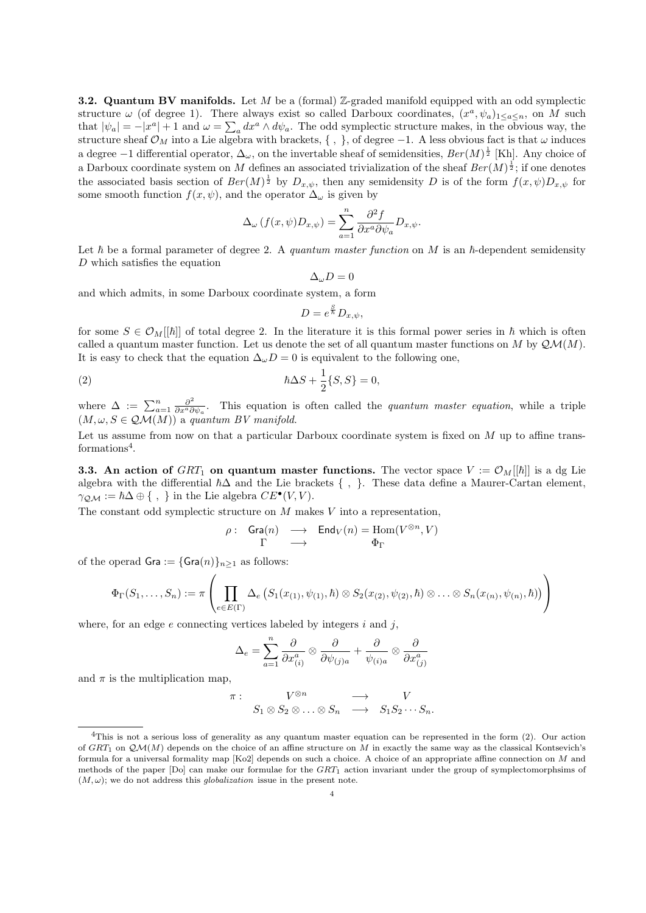**3.2. Quantum BV manifolds.** Let  $M$  be a (formal) Z-graded manifold equipped with an odd symplectic structure  $\omega$  (of degree 1). There always exist so called Darboux coordinates,  $(x^a, \psi_a)_{1 \leq a \leq n}$ , on M such that  $|\psi_a| = -|x^a| + 1$  and  $\omega = \sum_a dx^a \wedge d\psi_a$ . The odd symplectic structure makes, in the obvious way, the structure sheaf  $\mathcal{O}_M$  into a Lie algebra with brackets, {, }, of degree -1. A less obvious fact is that  $\omega$  induces a degree  $-1$  differential operator,  $\Delta_{\omega}$ , on the invertable sheaf of semidensities,  $Ber(M)^{\frac{1}{2}}$  [Kh]. Any choice of a Darboux coordinate system on M defines an associated trivialization of the sheaf  $Ber(M)^{\frac{1}{2}}$ ; if one denotes the associated basis section of  $Ber(M)^{\frac{1}{2}}$  by  $D_{x,\psi}$ , then any semidensity D is of the form  $f(x,\psi)D_{x,\psi}$  for some smooth function  $f(x, \psi)$ , and the operator  $\Delta_{\omega}$  is given by

$$
\Delta_{\omega}(f(x,\psi)D_{x,\psi}) = \sum_{a=1}^{n} \frac{\partial^2 f}{\partial x^a \partial \psi_a} D_{x,\psi}.
$$

Let  $\hbar$  be a formal parameter of degree 2. A quantum master function on M is an  $\hbar$ -dependent semidensity D which satisfies the equation

$$
\Delta_{\omega}D=0
$$

and which admits, in some Darboux coordinate system, a form

$$
D = e^{\frac{S}{\hbar}} D_{x,\psi},
$$

for some  $S \in \mathcal{O}_M[[\hbar]]$  of total degree 2. In the literature it is this formal power series in  $\hbar$  which is often called a quantum master function. Let us denote the set of all quantum master functions on M by  $\mathcal{QM}(M)$ . It is easy to check that the equation  $\Delta_{\omega}D=0$  is equivalent to the following one,

(2) 
$$
\hbar \Delta S + \frac{1}{2} \{S, S\} = 0,
$$

where  $\Delta := \sum_{a=1}^n \frac{\partial^2}{\partial x^a \partial x^b}$  $\frac{\partial^2}{\partial x^a \partial \psi_a}$ . This equation is often called the *quantum master equation*, while a triple  $(M, \omega, S \in \mathcal{QM}(M))$  a quantum BV manifold.

Let us assume from now on that a particular Darboux coordinate system is fixed on  $M$  up to affine transformations<sup>4</sup>.

**3.3.** An action of GRT<sub>1</sub> on quantum master functions. The vector space  $V := \mathcal{O}_M[[\hbar]]$  is a dg Lie algebra with the differential  $\hbar\Delta$  and the Lie brackets {, }. These data define a Maurer-Cartan element,  $\gamma_{\mathcal{QM}} := \hbar \Delta \oplus \{ , \}$  in the Lie algebra  $CE^{\bullet}(V, V)$ .

The constant odd symplectic structure on  $M$  makes  $V$  into a representation,

$$
\rho: \quad \mathsf{Gra}(n) \quad \longrightarrow \quad \mathsf{End}_V(n) = \mathsf{Hom}(V^{\otimes n}, V)
$$

$$
\Gamma \quad \longrightarrow \quad \Phi_{\Gamma}
$$

of the operad  $Gra := {Gra(n)}_{n>1}$  as follows:

$$
\Phi_{\Gamma}(S_1,\ldots,S_n) := \pi \left( \prod_{e \in E(\Gamma)} \Delta_e \left( S_1(x_{(1)}, \psi_{(1)}, \hbar) \otimes S_2(x_{(2)}, \psi_{(2)}, \hbar) \otimes \ldots \otimes S_n(x_{(n)}, \psi_{(n)}, \hbar) \right) \right)
$$

where, for an edge  $e$  connecting vertices labeled by integers  $i$  and  $j$ ,

$$
\Delta_e = \sum_{a=1}^n \frac{\partial}{\partial x_{(i)}^a} \otimes \frac{\partial}{\partial \psi_{(j)a}} + \frac{\partial}{\psi_{(i)a}} \otimes \frac{\partial}{\partial x_{(j)}^a}
$$

and  $\pi$  is the multiplication map,

$$
\begin{array}{cccc}\n\pi: & V^{\otimes n} & \longrightarrow & V \\
S_1 \otimes S_2 \otimes \ldots \otimes S_n & \longrightarrow & S_1 S_2 \cdots S_n.\n\end{array}
$$

<sup>4</sup>This is not a serious loss of generality as any quantum master equation can be represented in the form (2). Our action of  $GRT_1$  on  $QM(M)$  depends on the choice of an affine structure on M in exactly the same way as the classical Kontsevich's formula for a universal formality map [Ko2] depends on such a choice. A choice of an appropriate affine connection on M and methods of the paper  $[D_0]$  can make our formulae for the  $GRT_1$  action invariant under the group of symplectomorphsims of  $(M, \omega)$ ; we do not address this *globalization* issue in the present note.